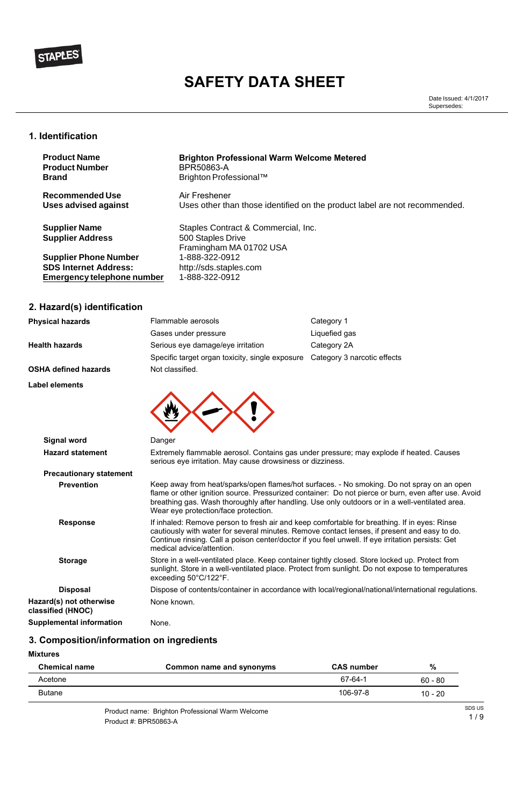### **1. Identification**

# **2. Hazard(s) identification**

| <b>Physical hazards</b>     | Flammable aerosols                              | Category 1                  |
|-----------------------------|-------------------------------------------------|-----------------------------|
|                             | Gases under pressure                            | Liquefied gas               |
| <b>Health hazards</b>       | Serious eye damage/eye irritation               | Category 2A                 |
|                             | Specific target organ toxicity, single exposure | Category 3 narcotic effects |
| <b>OSHA defined hazards</b> | Not classified.                                 |                             |
| <b>Label elements</b>       |                                                 |                             |
|                             |                                                 |                             |
|                             |                                                 |                             |
|                             |                                                 |                             |
|                             |                                                 |                             |

| <b>Signal word</b>             | Danger                                                                                                                                                                                                                                                                                                                                      |
|--------------------------------|---------------------------------------------------------------------------------------------------------------------------------------------------------------------------------------------------------------------------------------------------------------------------------------------------------------------------------------------|
| <b>Hazard statement</b>        | Extremely flammable aerosol. Contains gas under pressure; may explode if heated. Causes<br>serious eye irritation. May cause drowsiness or dizziness.                                                                                                                                                                                       |
| <b>Precautionary statement</b> |                                                                                                                                                                                                                                                                                                                                             |
| <b>Prevention</b>              | Keep away from heat/sparks/open flames/hot surfaces. - No smoking. Do not spray on an open<br>flame or other ignition source. Pressurized container: Do not pierce or burn, even after use. Avoid<br>breathing gas. Wash thoroughly after handling. Use only outdoors or in a well-ventilated area.<br>Wear eye protection/face protection. |
| <b>Response</b>                | If inhaled: Remove person to fresh air and keep comfortable for breathing. If in eyes: Rinse<br>cautiously with water for several minutes. Remove contact lenses, if present and easy to do.<br>Continue rinsing. Call a poison center/doctor if you feel unwell. If eye irritation persists: Get<br>medical advice/attention.              |
| <b>Storage</b>                 | Store in a well-ventilated place. Keep container tightly closed. Store locked up. Protect from<br>sunlight. Store in a well-ventilated place. Protect from sunlight. Do not expose to temperatures<br>exceeding 50°C/122°F.                                                                                                                 |
| <b>Disposal</b>                | Dispose of contents/container in accordance with local/regional/national/international regulations.                                                                                                                                                                                                                                         |

**Hazard(s) not otherwise classified (HNOC)** None known.

**Supplemental information** None.

**3. Composition/information on ingredients**

### **Mixtures**

| <b>Chemical name</b> | Common name and synonyms                         | <b>CAS number</b> | %         |        |
|----------------------|--------------------------------------------------|-------------------|-----------|--------|
| Acetone              |                                                  | 67-64-1           | $60 - 80$ |        |
| <b>Butane</b>        |                                                  | 106-97-8          | $10 - 20$ |        |
|                      | Product name: Brighton Professional Warm Welcome |                   |           | SDS US |
|                      | Product #: BPR50863-A                            |                   |           | 1/9    |

| <b>Product Name</b>                             | <b>Brighton Professional Warm Welcome Metered</b>                                   |
|-------------------------------------------------|-------------------------------------------------------------------------------------|
| <b>Product Number</b>                           | <b>BPR50863-A</b>                                                                   |
| <b>Brand</b>                                    | Brighton Professional™                                                              |
| <b>Recommended Use</b>                          | Air Freshener                                                                       |
| Uses advised against                            | Uses other than those identified on the product label are not recommended.          |
| <b>Supplier Name</b><br><b>Supplier Address</b> | Staples Contract & Commercial, Inc.<br>500 Staples Drive<br>Framingham MA 01702 USA |
| <b>Supplier Phone Number</b>                    | 1-888-322-0912                                                                      |
| <b>SDS Internet Address:</b>                    | http://sds.staples.com                                                              |
| Emergency telephone number                      | 1-888-322-0912                                                                      |



# **SAFETY DATA SHEET**

Date Issued: 4/1/2017 Supersedes: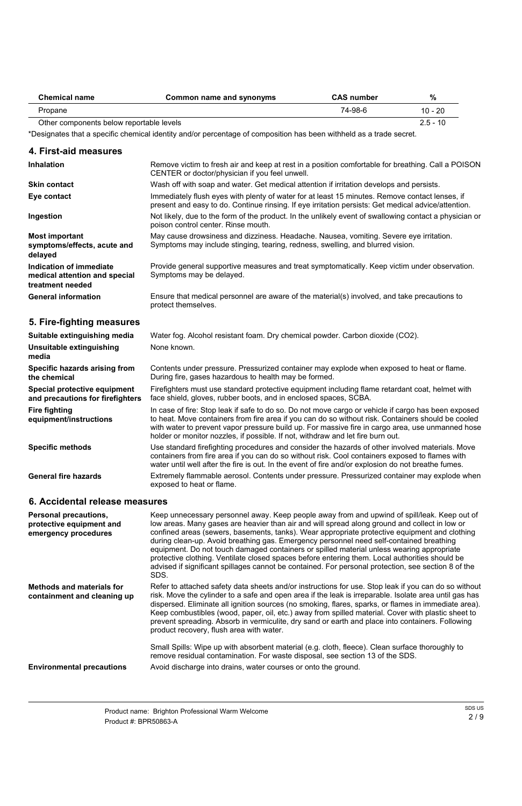| <b>Chemical name</b>                     | Common name and synonyms | <b>CAS number</b> | $\%$       |
|------------------------------------------|--------------------------|-------------------|------------|
| Propane                                  |                          | 74-98-6           | 10 - 20    |
| Other components below reportable levels |                          |                   | $2.5 - 10$ |

\*Designates that a specific chemical identity and/or percentage of composition has been withheld as a trade secret.

| 4. First-aid measures                                                        |                                                                                                                                                                                                                                                                                                                                                                                                  |
|------------------------------------------------------------------------------|--------------------------------------------------------------------------------------------------------------------------------------------------------------------------------------------------------------------------------------------------------------------------------------------------------------------------------------------------------------------------------------------------|
| <b>Inhalation</b>                                                            | Remove victim to fresh air and keep at rest in a position comfortable for breathing. Call a POISON<br>CENTER or doctor/physician if you feel unwell.                                                                                                                                                                                                                                             |
| <b>Skin contact</b>                                                          | Wash off with soap and water. Get medical attention if irritation develops and persists.                                                                                                                                                                                                                                                                                                         |
| Eye contact                                                                  | Immediately flush eyes with plenty of water for at least 15 minutes. Remove contact lenses, if<br>present and easy to do. Continue rinsing. If eye irritation persists: Get medical advice/attention.                                                                                                                                                                                            |
| Ingestion                                                                    | Not likely, due to the form of the product. In the unlikely event of swallowing contact a physician or<br>poison control center. Rinse mouth.                                                                                                                                                                                                                                                    |
| <b>Most important</b><br>symptoms/effects, acute and<br>delayed              | May cause drowsiness and dizziness. Headache. Nausea, vomiting. Severe eye irritation.<br>Symptoms may include stinging, tearing, redness, swelling, and blurred vision.                                                                                                                                                                                                                         |
| Indication of immediate<br>medical attention and special<br>treatment needed | Provide general supportive measures and treat symptomatically. Keep victim under observation.<br>Symptoms may be delayed.                                                                                                                                                                                                                                                                        |
| <b>General information</b>                                                   | Ensure that medical personnel are aware of the material(s) involved, and take precautions to<br>protect themselves.                                                                                                                                                                                                                                                                              |
| 5. Fire-fighting measures                                                    |                                                                                                                                                                                                                                                                                                                                                                                                  |
| Suitable extinguishing media                                                 | Water fog. Alcohol resistant foam. Dry chemical powder. Carbon dioxide (CO2).                                                                                                                                                                                                                                                                                                                    |
| Unsuitable extinguishing<br>media                                            | None known.                                                                                                                                                                                                                                                                                                                                                                                      |
| <b>Specific hazards arising from</b><br>the chemical                         | Contents under pressure. Pressurized container may explode when exposed to heat or flame.<br>During fire, gases hazardous to health may be formed.                                                                                                                                                                                                                                               |
| Special protective equipment<br>and precautions for firefighters             | Firefighters must use standard protective equipment including flame retardant coat, helmet with<br>face shield, gloves, rubber boots, and in enclosed spaces, SCBA.                                                                                                                                                                                                                              |
| <b>Fire fighting</b><br>equipment/instructions                               | In case of fire: Stop leak if safe to do so. Do not move cargo or vehicle if cargo has been exposed<br>to heat. Move containers from fire area if you can do so without risk. Containers should be cooled<br>with water to prevent vapor pressure build up. For massive fire in cargo area, use unmanned hose<br>holder or monitor nozzles, if possible. If not, withdraw and let fire burn out. |
| <b>Specific methods</b>                                                      | Use standard firefighting procedures and consider the hazards of other involved materials. Move                                                                                                                                                                                                                                                                                                  |

containers from fire area if you can do so without risk. Cool containers exposed to flames with water until well after the fire is out. In the event of fire and/or explosion do not breathe fumes. Extremely flammable aerosol. Contents under pressure. Pressurized container may explode when **General fire hazards**

exposed to heat or flame.

# **6. Accidental release measures**

| <b>Personal precautions,</b><br>protective equipment and<br>emergency procedures | Keep unnecessary personnel away. Keep people away from and upwind of spill/leak. Keep out of<br>low areas. Many gases are heavier than air and will spread along ground and collect in low or<br>confined areas (sewers, basements, tanks). Wear appropriate protective equipment and clothing<br>during clean-up. Avoid breathing gas. Emergency personnel need self-contained breathing<br>equipment. Do not touch damaged containers or spilled material unless wearing appropriate<br>protective clothing. Ventilate closed spaces before entering them. Local authorities should be<br>advised if significant spillages cannot be contained. For personal protection, see section 8 of the<br>SDS. |
|----------------------------------------------------------------------------------|---------------------------------------------------------------------------------------------------------------------------------------------------------------------------------------------------------------------------------------------------------------------------------------------------------------------------------------------------------------------------------------------------------------------------------------------------------------------------------------------------------------------------------------------------------------------------------------------------------------------------------------------------------------------------------------------------------|
| <b>Methods and materials for</b>                                                 | Refer to attached safety data sheets and/or instructions for use. Stop leak if you can do so without                                                                                                                                                                                                                                                                                                                                                                                                                                                                                                                                                                                                    |

| containment and cleaning up | risk. Move the cylinder to a safe and open area if the leak is irreparable. Isolate area until gas has<br>dispersed. Eliminate all ignition sources (no smoking, flares, sparks, or flames in immediate area).<br>Keep combustibles (wood, paper, oil, etc.) away from spilled material. Cover with plastic sheet to<br>prevent spreading. Absorb in vermiculite, dry sand or earth and place into containers. Following<br>product recovery, flush area with water. |
|-----------------------------|----------------------------------------------------------------------------------------------------------------------------------------------------------------------------------------------------------------------------------------------------------------------------------------------------------------------------------------------------------------------------------------------------------------------------------------------------------------------|
|                             | Small Spills: Wipe up with absorbent material (e.g. cloth, fleece). Clean surface thoroughly to<br>remove residual contamination. For waste disposal, see section 13 of the SDS.                                                                                                                                                                                                                                                                                     |
|                             | Acceld distinguish and the dealers constant accounts in an additional constant                                                                                                                                                                                                                                                                                                                                                                                       |

**Environmental precautions** Avoid discharge into drains, water courses or onto the ground.

| Product name: Brighton Professional Warm Welcome | SDS US |
|--------------------------------------------------|--------|
|                                                  | 2/9    |
| Product #: BPR50863-A                            |        |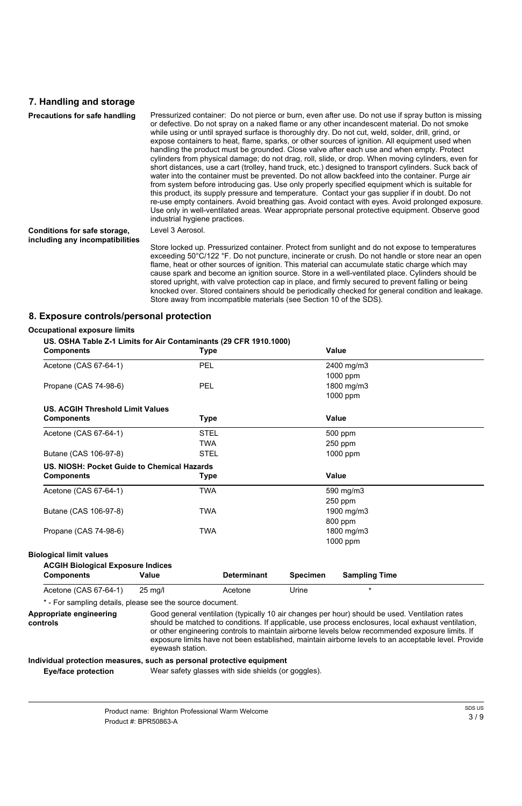### **7. Handling and storage**

| <b>Precautions for safe handling</b>                            | Pressurized container: Do not pierce or burn, even after use. Do not use if spray button is missing<br>or defective. Do not spray on a naked flame or any other incandescent material. Do not smoke<br>while using or until sprayed surface is thoroughly dry. Do not cut, weld, solder, drill, grind, or<br>expose containers to heat, flame, sparks, or other sources of ignition. All equipment used when<br>handling the product must be grounded. Close valve after each use and when empty. Protect<br>cylinders from physical damage; do not drag, roll, slide, or drop. When moving cylinders, even for<br>short distances, use a cart (trolley, hand truck, etc.) designed to transport cylinders. Suck back of<br>water into the container must be prevented. Do not allow backfeed into the container. Purge air<br>from system before introducing gas. Use only properly specified equipment which is suitable for<br>this product, its supply pressure and temperature. Contact your gas supplier if in doubt. Do not<br>re-use empty containers. Avoid breathing gas. Avoid contact with eyes. Avoid prolonged exposure.<br>Use only in well-ventilated areas. Wear appropriate personal protective equipment. Observe good<br>industrial hygiene practices. |
|-----------------------------------------------------------------|----------------------------------------------------------------------------------------------------------------------------------------------------------------------------------------------------------------------------------------------------------------------------------------------------------------------------------------------------------------------------------------------------------------------------------------------------------------------------------------------------------------------------------------------------------------------------------------------------------------------------------------------------------------------------------------------------------------------------------------------------------------------------------------------------------------------------------------------------------------------------------------------------------------------------------------------------------------------------------------------------------------------------------------------------------------------------------------------------------------------------------------------------------------------------------------------------------------------------------------------------------------------------|
| Conditions for safe storage,<br>including any incompatibilities | Level 3 Aerosol.<br>Store locked up. Pressurized container. Protect from sunlight and do not expose to temperatures<br>exceeding 50°C/122 °F. Do not puncture, incinerate or crush. Do not handle or store near an open<br>flame, heat or other sources of ignition. This material can accumulate static charge which may<br>cause spark and become an ignition source. Store in a well-ventilated place. Cylinders should be<br>stored upright, with valve protection cap in place, and firmly secured to prevent falling or being<br>knocked over. Stored containers should be periodically checked for general condition and leakage.<br>Store away from incompatible materials (see Section 10 of the SDS).                                                                                                                                                                                                                                                                                                                                                                                                                                                                                                                                                            |

### **8. Exposure controls/personal protection**

#### **Occupational exposure limits**

### **US. OSHA Table Z-1 Limits for Air Contaminants (29 CFR 1910.1000)**

| <b>Components</b>                                                             | <b>Type</b>        | <b>Value</b>                            |
|-------------------------------------------------------------------------------|--------------------|-----------------------------------------|
| Acetone (CAS 67-64-1)                                                         | <b>PEL</b>         | 2400 mg/m3                              |
|                                                                               |                    | 1000 ppm                                |
| Propane (CAS 74-98-6)                                                         | <b>PEL</b>         | 1800 mg/m3                              |
|                                                                               |                    | 1000 ppm                                |
| <b>US. ACGIH Threshold Limit Values</b>                                       |                    |                                         |
| <b>Components</b>                                                             | <b>Type</b>        | <b>Value</b>                            |
| Acetone (CAS 67-64-1)                                                         | <b>STEL</b>        | 500 ppm                                 |
|                                                                               | <b>TWA</b>         | 250 ppm                                 |
| Butane (CAS 106-97-8)                                                         | <b>STEL</b>        | 1000 ppm                                |
| US. NIOSH: Pocket Guide to Chemical Hazards                                   |                    |                                         |
| <b>Components</b>                                                             | <b>Type</b>        | <b>Value</b>                            |
| Acetone (CAS 67-64-1)                                                         | <b>TWA</b>         | 590 mg/m3                               |
|                                                                               |                    | $250$ ppm                               |
| Butane (CAS 106-97-8)                                                         | <b>TWA</b>         | 1900 mg/m3                              |
|                                                                               |                    | 800 ppm                                 |
| Propane (CAS 74-98-6)                                                         | <b>TWA</b>         | 1800 mg/m3                              |
|                                                                               |                    | 1000 ppm                                |
| <b>Biological limit values</b>                                                |                    |                                         |
| <b>ACGIH Biological Exposure Indices</b><br><b>Components</b><br><b>Value</b> | <b>Determinant</b> | <b>Specimen</b><br><b>Sampling Time</b> |

### Acetone (CAS 67-64-1) 25 mg/l Acetone Urine \*

\* - For sampling details, please see the source document.

Good general ventilation (typically 10 air changes per hour) should be used. Ventilation rates should be matched to conditions. If applicable, use process enclosures, local exhaust ventilation, or other engineering controls to maintain airborne levels below recommended exposure limits. If exposure limits have not been established, maintain airborne levels to an acceptable level. Provide eyewash station. **Appropriate engineering controls**

#### **Individual protection measures, such as personal protective equipment**

**Eye/face protection** Wear safety glasses with side shields (or goggles).

| Product name: Brighton Professional Warm Welcome | SDS US |
|--------------------------------------------------|--------|
|                                                  | 3/9    |
| Product #: BPR50863-A                            |        |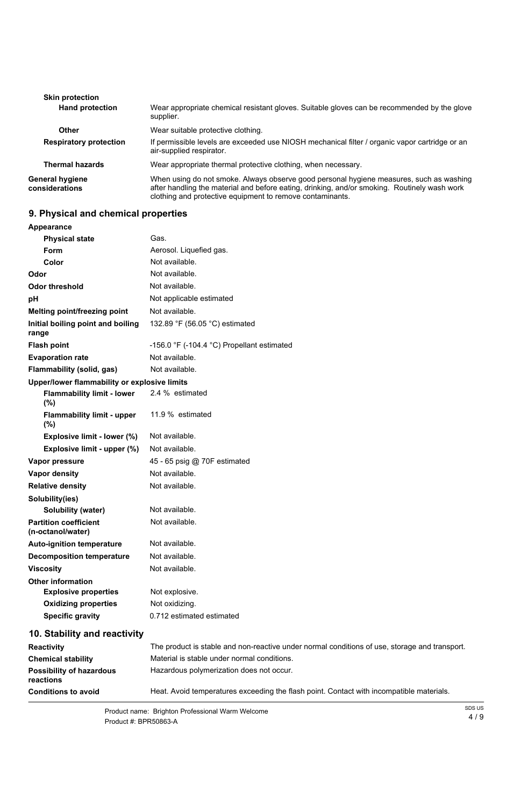| <b>Skin protection</b>            |                                                                                                                                                                                                                                                      |
|-----------------------------------|------------------------------------------------------------------------------------------------------------------------------------------------------------------------------------------------------------------------------------------------------|
| <b>Hand protection</b>            | Wear appropriate chemical resistant gloves. Suitable gloves can be recommended by the glove<br>supplier.                                                                                                                                             |
| <b>Other</b>                      | Wear suitable protective clothing.                                                                                                                                                                                                                   |
| <b>Respiratory protection</b>     | If permissible levels are exceeded use NIOSH mechanical filter / organic vapor cartridge or an<br>air-supplied respirator.                                                                                                                           |
| <b>Thermal hazards</b>            | Wear appropriate thermal protective clothing, when necessary.                                                                                                                                                                                        |
| General hygiene<br>considerations | When using do not smoke. Always observe good personal hygiene measures, such as washing<br>after handling the material and before eating, drinking, and/or smoking. Routinely wash work<br>clothing and protective equipment to remove contaminants. |

# **9. Physical and chemical properties**

# **Appearance**

| <b>Physical state</b>                             | Gas.                                                                                          |
|---------------------------------------------------|-----------------------------------------------------------------------------------------------|
| Form                                              | Aerosol. Liquefied gas.                                                                       |
| Color                                             | Not available.                                                                                |
| Odor                                              | Not available.                                                                                |
| <b>Odor threshold</b>                             | Not available.                                                                                |
| pH                                                | Not applicable estimated                                                                      |
| <b>Melting point/freezing point</b>               | Not available.                                                                                |
| Initial boiling point and boiling<br>range        | 132.89 °F (56.05 °C) estimated                                                                |
| <b>Flash point</b>                                | -156.0 $\degree$ F (-104.4 $\degree$ C) Propellant estimated                                  |
| <b>Evaporation rate</b>                           | Not available.                                                                                |
| <b>Flammability (solid, gas)</b>                  | Not available.                                                                                |
| Upper/lower flammability or explosive limits      |                                                                                               |
| <b>Flammability limit - lower</b><br>(%)          | 2.4 % estimated                                                                               |
| <b>Flammability limit - upper</b><br>(%)          | 11.9 % estimated                                                                              |
| Explosive limit - lower (%)                       | Not available.                                                                                |
| Explosive limit - upper (%)                       | Not available.                                                                                |
| Vapor pressure                                    | 45 - 65 psig @ 70F estimated                                                                  |
| <b>Vapor density</b>                              | Not available.                                                                                |
| <b>Relative density</b>                           | Not available.                                                                                |
| Solubility(ies)                                   |                                                                                               |
| <b>Solubility (water)</b>                         | Not available.                                                                                |
| <b>Partition coefficient</b><br>(n-octanol/water) | Not available.                                                                                |
| <b>Auto-ignition temperature</b>                  | Not available.                                                                                |
| <b>Decomposition temperature</b>                  | Not available.                                                                                |
| <b>Viscosity</b>                                  | Not available.                                                                                |
| <b>Other information</b>                          |                                                                                               |
| <b>Explosive properties</b>                       | Not explosive.                                                                                |
| <b>Oxidizing properties</b>                       | Not oxidizing.                                                                                |
| <b>Specific gravity</b>                           | 0.712 estimated estimated                                                                     |
| 10. Stability and reactivity                      |                                                                                               |
| <b>Reactivity</b>                                 | The product is stable and non-reactive under normal conditions of use, storage and transport. |
| <b>Chemical stability</b>                         | Material is stable under normal conditions.                                                   |
| <b>Possibility of hazardous</b><br>reactions      | Hazardous polymerization does not occur.                                                      |

**Conditions to avoid Heat. Avoid temperatures exceeding the flash point. Contact with incompatible materials.** 

| Product name: Brighton Professional Warm Welcome | SDS US |
|--------------------------------------------------|--------|
|                                                  | 4/9    |
| Product #: BPR50863-A                            |        |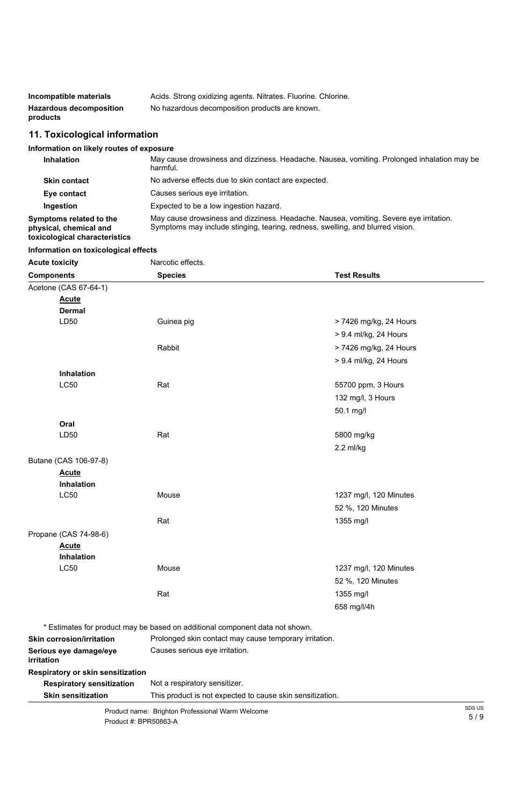| Incompatible materials         | Acids. Strong oxidizing agents. Nitrates. Fluorine. Chlorine. |
|--------------------------------|---------------------------------------------------------------|
| <b>Hazardous decomposition</b> | No hazardous decomposition products are known.                |
| products                       |                                                               |

# **11. Toxicological information**

## **Information on likely routes of exposure**

| <b>Inhalation</b>                                                                         | May cause drowsiness and dizziness. Headache. Nausea, vomiting. Prolonged inhalation may be<br>harmful.                                                                  |
|-------------------------------------------------------------------------------------------|--------------------------------------------------------------------------------------------------------------------------------------------------------------------------|
| <b>Skin contact</b>                                                                       | No adverse effects due to skin contact are expected.                                                                                                                     |
| Eye contact                                                                               | Causes serious eye irritation.                                                                                                                                           |
| Ingestion                                                                                 | Expected to be a low ingestion hazard.                                                                                                                                   |
| <b>Symptoms related to the</b><br>physical, chemical and<br>toxicological characteristics | May cause drowsiness and dizziness. Headache. Nausea, vomiting. Severe eye irritation.<br>Symptoms may include stinging, tearing, redness, swelling, and blurred vision. |

## **Information on toxicological effects**

| <b>Acute toxicity</b> | Narcotic effects. |                        |
|-----------------------|-------------------|------------------------|
| <b>Components</b>     | <b>Species</b>    | <b>Test Results</b>    |
| Acetone (CAS 67-64-1) |                   |                        |
| <b>Acute</b>          |                   |                        |
| <b>Dermal</b>         |                   |                        |
| LD50                  | Guinea pig        | > 7426 mg/kg, 24 Hours |
|                       |                   | > 9.4 ml/kg, 24 Hours  |
|                       | Rabbit            | > 7426 mg/kg, 24 Hours |
|                       |                   | > 9.4 ml/kg, 24 Hours  |
| <b>Inhalation</b>     |                   |                        |
| <b>LC50</b>           | Rat               | 55700 ppm, 3 Hours     |
|                       |                   | 132 mg/l, 3 Hours      |
|                       |                   | 50.1 mg/l              |
| Oral                  |                   |                        |
| LD50                  | Rat               | 5800 mg/kg             |
|                       |                   | $2.2$ ml/kg            |
| Butane (CAS 106-97-8) |                   |                        |
| <b>Acute</b>          |                   |                        |
| <b>Inhalation</b>     |                   |                        |
| <b>LC50</b>           | Mouse             | 1237 mg/l, 120 Minutes |
|                       |                   | 52 %, 120 Minutes      |
|                       | Rat               | 1355 mg/l              |
| Propane (CAS 74-98-6) |                   |                        |
| <b>Acute</b>          |                   |                        |
| Inhalation            |                   |                        |
| <b>LC50</b>           | Mouse             | 1237 mg/l, 120 Minutes |
|                       |                   | 52 %, 120 Minutes      |
|                       | Rat               | 1355 mg/l              |

658 mg/l/4h

|                                                                               | * Estimates for product may be based on additional component data not shown. |        |
|-------------------------------------------------------------------------------|------------------------------------------------------------------------------|--------|
| <b>Skin corrosion/irritation</b>                                              | Prolonged skin contact may cause temporary irritation.                       |        |
| Causes serious eye irritation.<br>Serious eye damage/eye<br><i>irritation</i> |                                                                              |        |
| <b>Respiratory or skin sensitization</b>                                      |                                                                              |        |
| <b>Respiratory sensitization</b>                                              | Not a respiratory sensitizer.                                                |        |
| <b>Skin sensitization</b>                                                     | This product is not expected to cause skin sensitization.                    |        |
|                                                                               | Product name: Brighton Professional Warm Welcome                             | SDS US |
| Product #: BPR50863-A                                                         |                                                                              | 5/9    |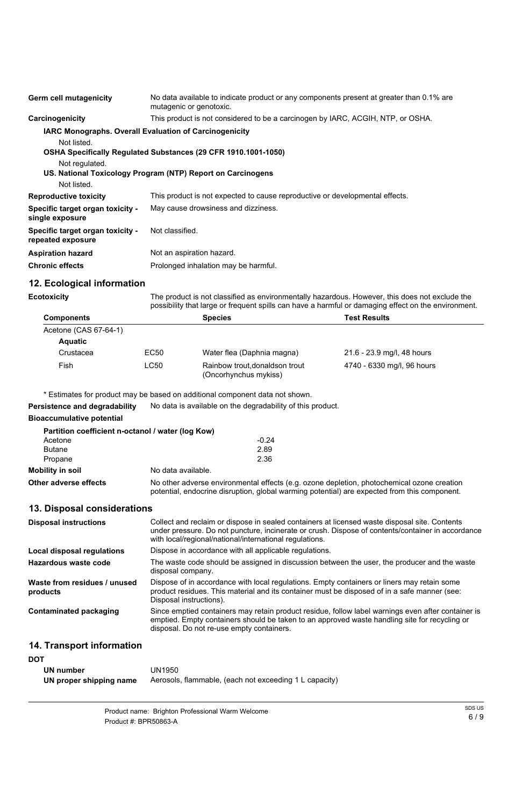| <b>Germ cell mutagenicity</b>                         | No data available to indicate product or any components present at greater than 0.1% are<br>mutagenic or genotoxic. |
|-------------------------------------------------------|---------------------------------------------------------------------------------------------------------------------|
| Carcinogenicity                                       | This product is not considered to be a carcinogen by IARC, ACGIH, NTP, or OSHA.                                     |
|                                                       | <b>IARC Monographs. Overall Evaluation of Carcinogenicity</b>                                                       |
| Not listed.                                           |                                                                                                                     |
|                                                       | OSHA Specifically Regulated Substances (29 CFR 1910.1001-1050)                                                      |
| Not regulated.                                        |                                                                                                                     |
|                                                       | US. National Toxicology Program (NTP) Report on Carcinogens                                                         |
| Not listed.                                           |                                                                                                                     |
| <b>Reproductive toxicity</b>                          | This product is not expected to cause reproductive or developmental effects.                                        |
| Specific target organ toxicity -<br>single exposure   | May cause drowsiness and dizziness.                                                                                 |
| Specific target organ toxicity -<br>repeated exposure | Not classified.                                                                                                     |
| <b>Aspiration hazard</b>                              | Not an aspiration hazard.                                                                                           |
| <b>Chronic effects</b>                                | Prolonged inhalation may be harmful.                                                                                |

# **12. Ecological information**

The product is not classified as environmentally hazardous. However, this does not exclude the possibility that large or frequent spills can have a harmful or damaging effect on the environment.

**Ecotoxicity**

| <b>Components</b>     |             | <b>Species</b>                                          | <b>Test Results</b>        |
|-----------------------|-------------|---------------------------------------------------------|----------------------------|
| Acetone (CAS 67-64-1) |             |                                                         |                            |
| <b>Aquatic</b>        |             |                                                         |                            |
| Crustacea             | <b>EC50</b> | Water flea (Daphnia magna)                              | 21.6 - 23.9 mg/l, 48 hours |
| Fish                  | LC50        | Rainbow trout, donaldson trout<br>(Oncorhynchus mykiss) | 4740 - 6330 mg/l, 96 hours |

\* Estimates for product may be based on additional component data not shown.

| Product name: Brighton Professional Warm Welcome | SDS US |
|--------------------------------------------------|--------|
|                                                  | 6/9    |
| Product #: BPR50863-A                            |        |

|                                                   | — ביהוויסוט וסויטו איסטוויסט וויס אטטטט סוי מטמונוסווט וויס פיוויסט וויס וויס וויס וויס ו                                                                                                  |
|---------------------------------------------------|--------------------------------------------------------------------------------------------------------------------------------------------------------------------------------------------|
| Persistence and degradability                     | No data is available on the degradability of this product.                                                                                                                                 |
| <b>Bioaccumulative potential</b>                  |                                                                                                                                                                                            |
| Partition coefficient n-octanol / water (log Kow) |                                                                                                                                                                                            |
| Acetone                                           | $-0.24$                                                                                                                                                                                    |
| <b>Butane</b>                                     | 2.89                                                                                                                                                                                       |
| Propane                                           | 2.36                                                                                                                                                                                       |
| <b>Mobility in soil</b>                           | No data available.                                                                                                                                                                         |
| Other adverse effects                             | No other adverse environmental effects (e.g. ozone depletion, photochemical ozone creation<br>potential, endocrine disruption, global warming potential) are expected from this component. |
| 13. Disposal considerations                       |                                                                                                                                                                                            |

| <b>Disposal instructions</b>             | Collect and reclaim or dispose in sealed containers at licensed waste disposal site. Contents<br>under pressure. Do not puncture, incinerate or crush. Dispose of contents/container in accordance<br>with local/regional/national/international regulations. |
|------------------------------------------|---------------------------------------------------------------------------------------------------------------------------------------------------------------------------------------------------------------------------------------------------------------|
| Local disposal regulations               | Dispose in accordance with all applicable regulations.                                                                                                                                                                                                        |
| Hazardous waste code                     | The waste code should be assigned in discussion between the user, the producer and the waste<br>disposal company.                                                                                                                                             |
| Waste from residues / unused<br>products | Dispose of in accordance with local regulations. Empty containers or liners may retain some<br>product residues. This material and its container must be disposed of in a safe manner (see:<br>Disposal instructions).                                        |
| <b>Contaminated packaging</b>            | Since emptied containers may retain product residue, follow label warnings even after container is<br>emptied. Empty containers should be taken to an approved waste handling site for recycling or<br>disposal. Do not re-use empty containers.              |
| <b>14. Transport information</b>         |                                                                                                                                                                                                                                                               |

### **DOT**

| UN number               | <b>UN1950</b>                                          |
|-------------------------|--------------------------------------------------------|
| UN proper shipping name | Aerosols, flammable, (each not exceeding 1 L capacity) |

6 / 9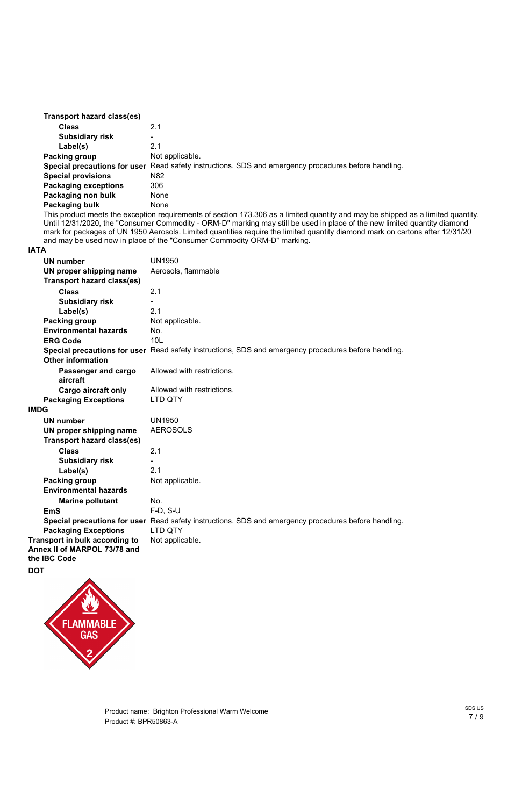| <b>Transport hazard class(es)</b> |                                                                                                      |
|-----------------------------------|------------------------------------------------------------------------------------------------------|
| <b>Class</b>                      | 2.1                                                                                                  |
| <b>Subsidiary risk</b>            | $\overline{\phantom{a}}$                                                                             |
| Label(s)                          | 2.1                                                                                                  |
| Packing group                     | Not applicable.                                                                                      |
|                                   | Special precautions for user Read safety instructions, SDS and emergency procedures before handling. |
| <b>Special provisions</b>         | N82                                                                                                  |
| <b>Packaging exceptions</b>       | 306                                                                                                  |
| Packaging non bulk                | <b>None</b>                                                                                          |
| Packaging bulk                    | None                                                                                                 |

This product meets the exception requirements of section 173.306 as a limited quantity and may be shipped as a limited quantity. Until 12/31/2020, the "Consumer Commodity - ORM-D" marking may still be used in place of the new limited quantity diamond mark for packages of UN 1950 Aerosols. Limited quantities require the limited quantity diamond mark on cartons after 12/31/20 and may be used now in place of the "Consumer Commodity ORM-D" marking.

#### **IATA**

| Product name: Brighton Professional Warm Welcome | SDS US |
|--------------------------------------------------|--------|
|                                                  | 7/9    |
| Product #: BPR50863-A                            |        |

| <b>UN number</b>                  | <b>UN1950</b>                                                                                        |
|-----------------------------------|------------------------------------------------------------------------------------------------------|
| UN proper shipping name           | Aerosols, flammable                                                                                  |
| <b>Transport hazard class(es)</b> |                                                                                                      |
| <b>Class</b>                      | 2.1                                                                                                  |
| <b>Subsidiary risk</b>            |                                                                                                      |
| Label(s)                          | 2.1                                                                                                  |
| <b>Packing group</b>              | Not applicable.                                                                                      |
| <b>Environmental hazards</b>      | No.                                                                                                  |
| <b>ERG Code</b>                   | <b>10L</b>                                                                                           |
|                                   | Special precautions for user Read safety instructions, SDS and emergency procedures before handling. |
| <b>Other information</b>          |                                                                                                      |
| Passenger and cargo               | Allowed with restrictions.                                                                           |
| aircraft                          |                                                                                                      |
| <b>Cargo aircraft only</b>        | Allowed with restrictions.                                                                           |
| <b>Packaging Exceptions</b>       | <b>LTD QTY</b>                                                                                       |
| <b>IMDG</b>                       |                                                                                                      |
| <b>UN number</b>                  | <b>UN1950</b>                                                                                        |
| UN proper shipping name           | <b>AEROSOLS</b>                                                                                      |
| Transport hazard class(es)        |                                                                                                      |
| <b>Class</b>                      | 2.1                                                                                                  |
| <b>Subsidiary risk</b>            |                                                                                                      |
| Label(s)                          | 2.1                                                                                                  |
| Packing group                     | Not applicable.                                                                                      |
| <b>Environmental hazards</b>      |                                                                                                      |
| <b>Marine pollutant</b>           | No.                                                                                                  |
| <b>EmS</b>                        | $F-D, S-U$                                                                                           |
|                                   | Special precautions for user Read safety instructions, SDS and emergency procedures before handling. |
| <b>Packaging Exceptions</b>       | <b>LTD QTY</b>                                                                                       |
| Transport in bulk according to    | Not applicable.                                                                                      |
| Annex II of MARPOL 73/78 and      |                                                                                                      |
| the IBC Code                      |                                                                                                      |





7 / 9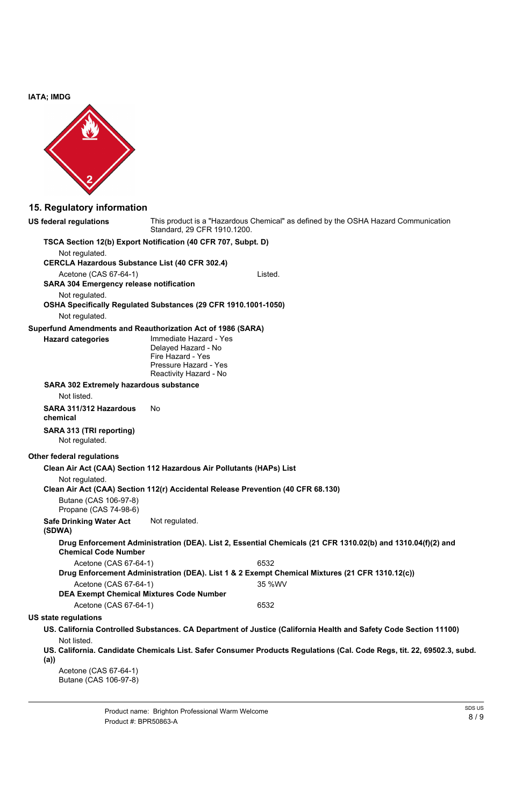**IATA; IMDG**



# **15. Regulatory information**

| <b>US federal regulations</b>                                                                  | This product is a "Hazardous Chemical" as defined by the OSHA Hazard Communication<br>Standard, 29 CFR 1910.1200.     |  |  |  |
|------------------------------------------------------------------------------------------------|-----------------------------------------------------------------------------------------------------------------------|--|--|--|
| TSCA Section 12(b) Export Notification (40 CFR 707, Subpt. D)                                  |                                                                                                                       |  |  |  |
| Not regulated.                                                                                 |                                                                                                                       |  |  |  |
| <b>CERCLA Hazardous Substance List (40 CFR 302.4)</b>                                          |                                                                                                                       |  |  |  |
| Acetone (CAS 67-64-1)                                                                          | Listed.                                                                                                               |  |  |  |
| <b>SARA 304 Emergency release notification</b>                                                 |                                                                                                                       |  |  |  |
| Not regulated.                                                                                 |                                                                                                                       |  |  |  |
|                                                                                                | OSHA Specifically Regulated Substances (29 CFR 1910.1001-1050)                                                        |  |  |  |
| Not regulated.                                                                                 |                                                                                                                       |  |  |  |
|                                                                                                | Superfund Amendments and Reauthorization Act of 1986 (SARA)                                                           |  |  |  |
| <b>Hazard categories</b>                                                                       | Immediate Hazard - Yes<br>Delayed Hazard - No<br>Fire Hazard - Yes<br>Pressure Hazard - Yes<br>Reactivity Hazard - No |  |  |  |
| <b>SARA 302 Extremely hazardous substance</b>                                                  |                                                                                                                       |  |  |  |
| Not listed.                                                                                    |                                                                                                                       |  |  |  |
| SARA 311/312 Hazardous<br>chemical                                                             | <b>No</b>                                                                                                             |  |  |  |
| <b>SARA 313 (TRI reporting)</b><br>Not regulated.                                              |                                                                                                                       |  |  |  |
| <b>Other federal regulations</b>                                                               |                                                                                                                       |  |  |  |
|                                                                                                | Clean Air Act (CAA) Section 112 Hazardous Air Pollutants (HAPs) List                                                  |  |  |  |
| Not regulated.                                                                                 | Clean Air Act (CAA) Section 112(r) Accidental Release Prevention (40 CFR 68.130)                                      |  |  |  |
| Butane (CAS 106-97-8)<br>Propane (CAS 74-98-6)                                                 |                                                                                                                       |  |  |  |
| <b>Safe Drinking Water Act</b><br>(SDWA)                                                       | Not regulated.                                                                                                        |  |  |  |
| <b>Chemical Code Number</b>                                                                    | Drug Enforcement Administration (DEA). List 2, Essential Chemicals (21 CFR 1310.02(b) and 1310.04(f)(2) and           |  |  |  |
| Acetone (CAS 67-64-1)                                                                          | 6532                                                                                                                  |  |  |  |
| Drug Enforcement Administration (DEA). List 1 & 2 Exempt Chemical Mixtures (21 CFR 1310.12(c)) |                                                                                                                       |  |  |  |
| Acetone (CAS 67-64-1)                                                                          | 35 %WV                                                                                                                |  |  |  |

| Product name: Brighton Professional Warm Welcome | SDS US |
|--------------------------------------------------|--------|
|                                                  | 8/9    |
| Product #: BPR50863-A                            |        |

#### **DEA Exempt Chemical Mixtures Code Number**

Acetone (CAS 67-64-1) 6532

### **US state regulations**

- **US. California Controlled Substances. CA Department of Justice (California Health and Safety Code Section 11100)** Not listed.
- **US. California. Candidate Chemicals List. Safer Consumer Products Regulations (Cal. Code Regs, tit. 22, 69502.3, subd. (a))**

Acetone (CAS 67-64-1) Butane (CAS 106-97-8)

8 / 9